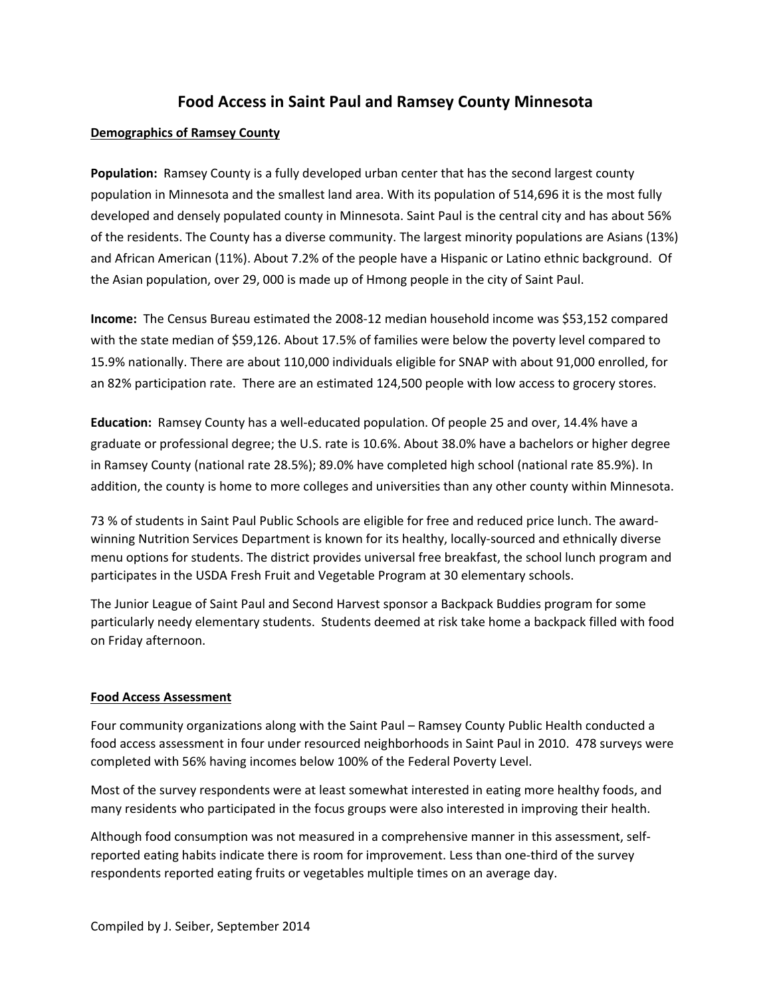# **Food Access in Saint Paul and Ramsey County Minnesota**

#### **Demographics of Ramsey County**

**Population:** Ramsey County is a fully developed urban center that has the second largest county population in Minnesota and the smallest land area. With its population of 514,696 it is the most fully developed and densely populated county in Minnesota. Saint Paul is the central city and has about 56% of the residents. The County has a diverse community. The largest minority populations are Asians (13%) and African American (11%). About 7.2% of the people have a Hispanic or Latino ethnic background. Of the Asian population, over 29, 000 is made up of Hmong people in the city of Saint Paul.

**Income:** The Census Bureau estimated the 2008-12 median household income was \$53,152 compared with the state median of \$59,126. About 17.5% of families were below the poverty level compared to 15.9% nationally. There are about 110,000 individuals eligible for SNAP with about 91,000 enrolled, for an 82% participation rate. There are an estimated 124,500 people with low access to grocery stores.

**Education:** Ramsey County has a well-educated population. Of people 25 and over, 14.4% have a graduate or professional degree; the U.S. rate is 10.6%. About 38.0% have a bachelors or higher degree in Ramsey County (national rate 28.5%); 89.0% have completed high school (national rate 85.9%). In addition, the county is home to more colleges and universities than any other county within Minnesota.

73 % of students in Saint Paul Public Schools are eligible for free and reduced price lunch. The awardwinning Nutrition Services Department is known for its healthy, locally-sourced and ethnically diverse menu options for students. The district provides universal free breakfast, the school lunch program and participates in the USDA Fresh Fruit and Vegetable Program at 30 elementary schools.

The Junior League of Saint Paul and Second Harvest sponsor a Backpack Buddies program for some particularly needy elementary students. Students deemed at risk take home a backpack filled with food on Friday afternoon.

#### **Food Access Assessment**

Four community organizations along with the Saint Paul – Ramsey County Public Health conducted a food access assessment in four under resourced neighborhoods in Saint Paul in 2010. 478 surveys were completed with 56% having incomes below 100% of the Federal Poverty Level.

Most of the survey respondents were at least somewhat interested in eating more healthy foods, and many residents who participated in the focus groups were also interested in improving their health.

Although food consumption was not measured in a comprehensive manner in this assessment, selfreported eating habits indicate there is room for improvement. Less than one-third of the survey respondents reported eating fruits or vegetables multiple times on an average day.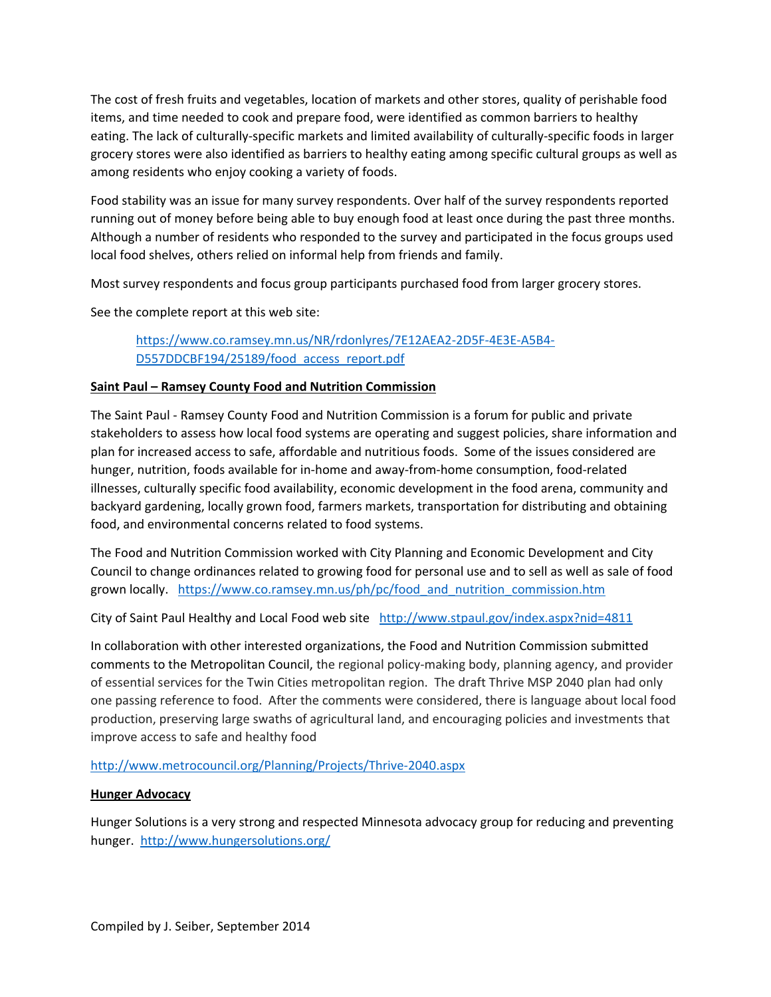The cost of fresh fruits and vegetables, location of markets and other stores, quality of perishable food items, and time needed to cook and prepare food, were identified as common barriers to healthy eating. The lack of culturally-specific markets and limited availability of culturally-specific foods in larger grocery stores were also identified as barriers to healthy eating among specific cultural groups as well as among residents who enjoy cooking a variety of foods.

Food stability was an issue for many survey respondents. Over half of the survey respondents reported running out of money before being able to buy enough food at least once during the past three months. Although a number of residents who responded to the survey and participated in the focus groups used local food shelves, others relied on informal help from friends and family.

Most survey respondents and focus group participants purchased food from larger grocery stores.

See the complete report at this web site:

https://www.co.ramsey.mn.us/NR/rdonlyres/7E12AEA2-2D5F-4E3E-A5B4- D557DDCBF194/25189/food\_access\_report.pdf

#### **Saint Paul – Ramsey County Food and Nutrition Commission**

The Saint Paul - Ramsey County Food and Nutrition Commission is a forum for public and private stakeholders to assess how local food systems are operating and suggest policies, share information and plan for increased access to safe, affordable and nutritious foods. Some of the issues considered are hunger, nutrition, foods available for in-home and away-from-home consumption, food-related illnesses, culturally specific food availability, economic development in the food arena, community and backyard gardening, locally grown food, farmers markets, transportation for distributing and obtaining food, and environmental concerns related to food systems.

The Food and Nutrition Commission worked with City Planning and Economic Development and City Council to change ordinances related to growing food for personal use and to sell as well as sale of food grown locally. https://www.co.ramsey.mn.us/ph/pc/food and nutrition commission.htm

City of Saint Paul Healthy and Local Food web site http://www.stpaul.gov/index.aspx?nid=4811

In collaboration with other interested organizations, the Food and Nutrition Commission submitted comments to the Metropolitan Council, the regional policy-making body, planning agency, and provider of essential services for the Twin Cities metropolitan region. The draft Thrive MSP 2040 plan had only one passing reference to food. After the comments were considered, there is language about local food production, preserving large swaths of agricultural land, and encouraging policies and investments that improve access to safe and healthy food

#### http://www.metrocouncil.org/Planning/Projects/Thrive-2040.aspx

#### **Hunger Advocacy**

Hunger Solutions is a very strong and respected Minnesota advocacy group for reducing and preventing hunger. http://www.hungersolutions.org/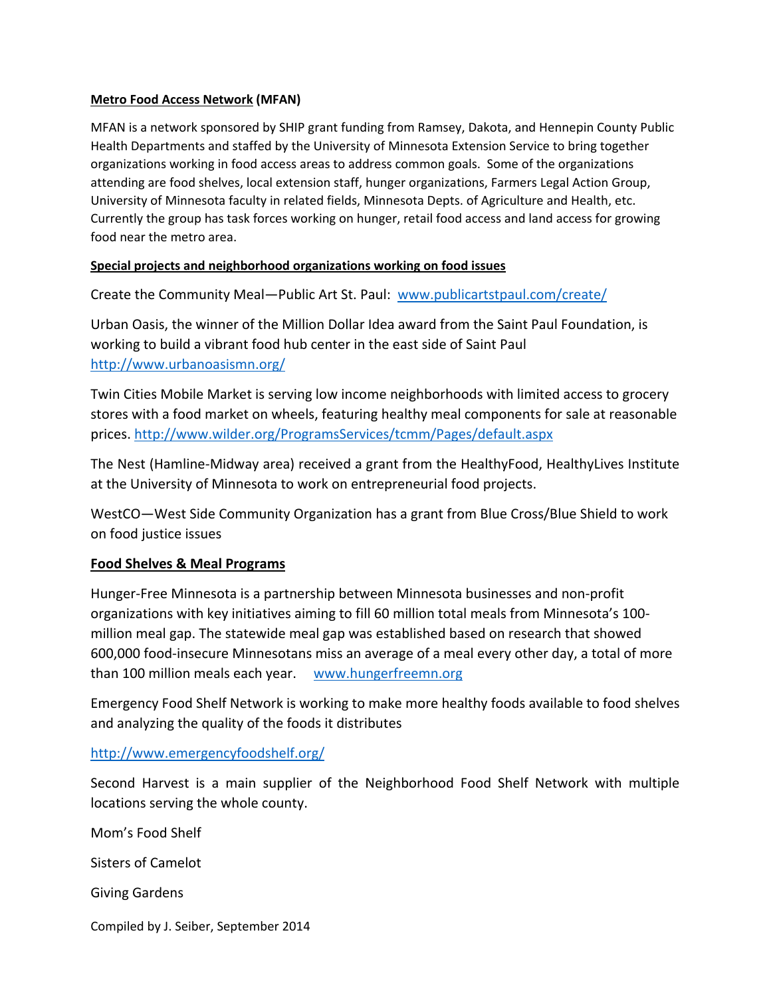#### **Metro Food Access Network (MFAN)**

MFAN is a network sponsored by SHIP grant funding from Ramsey, Dakota, and Hennepin County Public Health Departments and staffed by the University of Minnesota Extension Service to bring together organizations working in food access areas to address common goals. Some of the organizations attending are food shelves, local extension staff, hunger organizations, Farmers Legal Action Group, University of Minnesota faculty in related fields, Minnesota Depts. of Agriculture and Health, etc. Currently the group has task forces working on hunger, retail food access and land access for growing food near the metro area.

### **Special projects and neighborhood organizations working on food issues**

Create the Community Meal—Public Art St. Paul: www.publicartstpaul.com/create/

Urban Oasis, the winner of the Million Dollar Idea award from the Saint Paul Foundation, is working to build a vibrant food hub center in the east side of Saint Paul http://www.urbanoasismn.org/

Twin Cities Mobile Market is serving low income neighborhoods with limited access to grocery stores with a food market on wheels, featuring healthy meal components for sale at reasonable prices. http://www.wilder.org/ProgramsServices/tcmm/Pages/default.aspx

The Nest (Hamline-Midway area) received a grant from the HealthyFood, HealthyLives Institute at the University of Minnesota to work on entrepreneurial food projects.

WestCO—West Side Community Organization has a grant from Blue Cross/Blue Shield to work on food justice issues

### **Food Shelves & Meal Programs**

Hunger-Free Minnesota is a partnership between Minnesota businesses and non-profit organizations with key initiatives aiming to fill 60 million total meals from Minnesota's 100 million meal gap. The statewide meal gap was established based on research that showed 600,000 food-insecure Minnesotans miss an average of a meal every other day, a total of more than 100 million meals each year. www.hungerfreemn.org

Emergency Food Shelf Network is working to make more healthy foods available to food shelves and analyzing the quality of the foods it distributes

http://www.emergencyfoodshelf.org/

Second Harvest is a main supplier of the Neighborhood Food Shelf Network with multiple locations serving the whole county.

Mom's Food Shelf Sisters of Camelot Giving Gardens

Compiled by J. Seiber, September 2014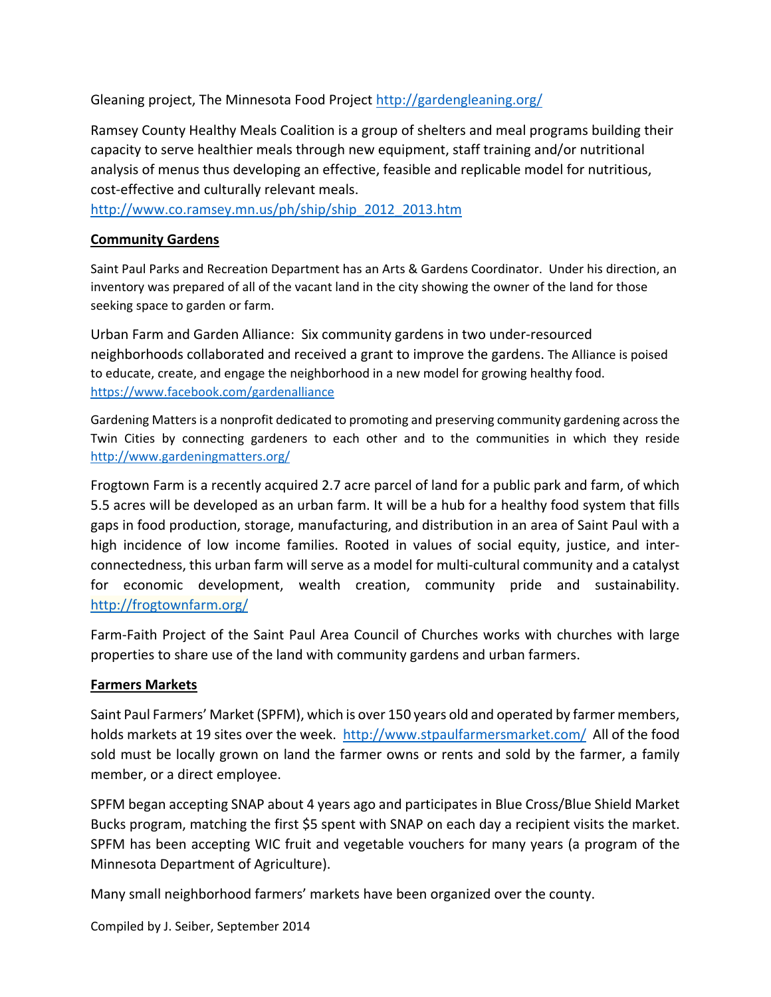Gleaning project, The Minnesota Food Project http://gardengleaning.org/

Ramsey County Healthy Meals Coalition is a group of shelters and meal programs building their capacity to serve healthier meals through new equipment, staff training and/or nutritional analysis of menus thus developing an effective, feasible and replicable model for nutritious, cost-effective and culturally relevant meals.

http://www.co.ramsey.mn.us/ph/ship/ship\_2012\_2013.htm

# **Community Gardens**

Saint Paul Parks and Recreation Department has an Arts & Gardens Coordinator. Under his direction, an inventory was prepared of all of the vacant land in the city showing the owner of the land for those seeking space to garden or farm.

Urban Farm and Garden Alliance: Six community gardens in two under-resourced neighborhoods collaborated and received a grant to improve the gardens. The Alliance is poised to educate, create, and engage the neighborhood in a new model for growing healthy food. https://www.facebook.com/gardenalliance

Gardening Matters is a nonprofit dedicated to promoting and preserving community gardening across the Twin Cities by connecting gardeners to each other and to the communities in which they reside http://www.gardeningmatters.org/

Frogtown Farm is a recently acquired 2.7 acre parcel of land for a public park and farm, of which 5.5 acres will be developed as an urban farm. It will be a hub for a healthy food system that fills gaps in food production, storage, manufacturing, and distribution in an area of Saint Paul with a high incidence of low income families. Rooted in values of social equity, justice, and interconnectedness, this urban farm will serve as a model for multi-cultural community and a catalyst for economic development, wealth creation, community pride and sustainability. http://frogtownfarm.org/

Farm-Faith Project of the Saint Paul Area Council of Churches works with churches with large properties to share use of the land with community gardens and urban farmers.

# **Farmers Markets**

Saint Paul Farmers' Market (SPFM), which is over 150 years old and operated by farmer members, holds markets at 19 sites over the week. http://www.stpaulfarmersmarket.com/ All of the food sold must be locally grown on land the farmer owns or rents and sold by the farmer, a family member, or a direct employee.

SPFM began accepting SNAP about 4 years ago and participates in Blue Cross/Blue Shield Market Bucks program, matching the first \$5 spent with SNAP on each day a recipient visits the market. SPFM has been accepting WIC fruit and vegetable vouchers for many years (a program of the Minnesota Department of Agriculture).

Many small neighborhood farmers' markets have been organized over the county.

Compiled by J. Seiber, September 2014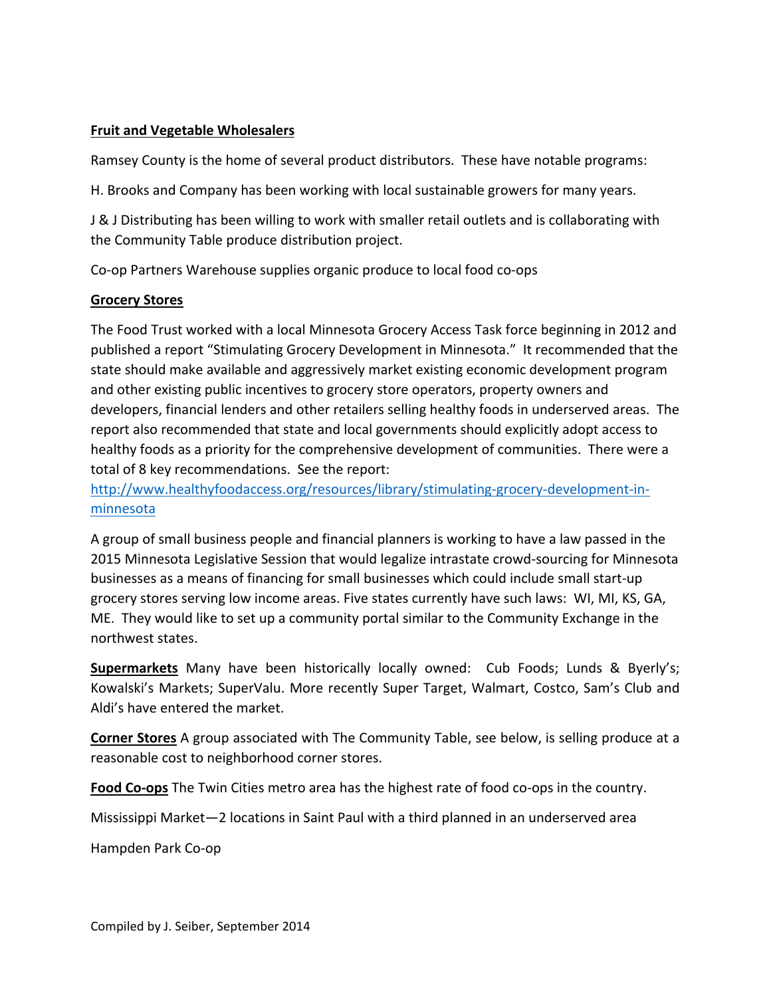# **Fruit and Vegetable Wholesalers**

Ramsey County is the home of several product distributors. These have notable programs:

H. Brooks and Company has been working with local sustainable growers for many years.

J & J Distributing has been willing to work with smaller retail outlets and is collaborating with the Community Table produce distribution project.

Co-op Partners Warehouse supplies organic produce to local food co-ops

# **Grocery Stores**

The Food Trust worked with a local Minnesota Grocery Access Task force beginning in 2012 and published a report "Stimulating Grocery Development in Minnesota." It recommended that the state should make available and aggressively market existing economic development program and other existing public incentives to grocery store operators, property owners and developers, financial lenders and other retailers selling healthy foods in underserved areas. The report also recommended that state and local governments should explicitly adopt access to healthy foods as a priority for the comprehensive development of communities. There were a total of 8 key recommendations. See the report:

http://www.healthyfoodaccess.org/resources/library/stimulating-grocery-development-inminnesota

A group of small business people and financial planners is working to have a law passed in the 2015 Minnesota Legislative Session that would legalize intrastate crowd-sourcing for Minnesota businesses as a means of financing for small businesses which could include small start-up grocery stores serving low income areas. Five states currently have such laws: WI, MI, KS, GA, ME. They would like to set up a community portal similar to the Community Exchange in the northwest states.

**Supermarkets** Many have been historically locally owned: Cub Foods; Lunds & Byerly's; Kowalski's Markets; SuperValu. More recently Super Target, Walmart, Costco, Sam's Club and Aldi's have entered the market.

**Corner Stores** A group associated with The Community Table, see below, is selling produce at a reasonable cost to neighborhood corner stores.

**Food Co-ops** The Twin Cities metro area has the highest rate of food co-ops in the country.

Mississippi Market—2 locations in Saint Paul with a third planned in an underserved area

Hampden Park Co-op